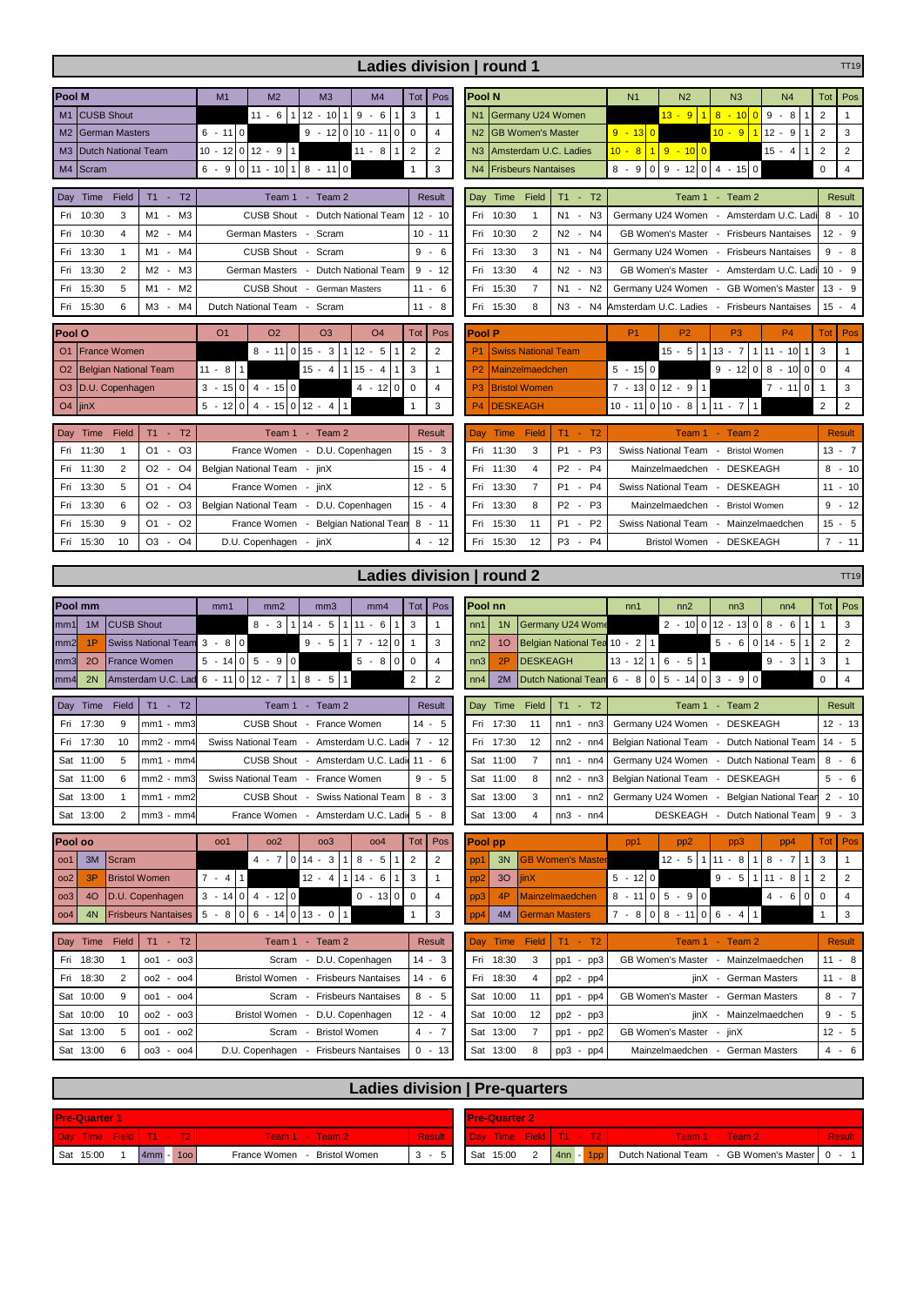| Ladies division   round 1<br><b>TT19</b>                                                             |                                                                             |                                  |                                              |                                                              |                       |                                                                |                                            |                                  |  |  |  |
|------------------------------------------------------------------------------------------------------|-----------------------------------------------------------------------------|----------------------------------|----------------------------------------------|--------------------------------------------------------------|-----------------------|----------------------------------------------------------------|--------------------------------------------|----------------------------------|--|--|--|
| <b>Pool M</b><br>M <sub>2</sub><br>M <sub>1</sub>                                                    | M <sub>4</sub><br>M <sub>3</sub>                                            | Pos<br>Tot                       | <b>Pool N</b>                                |                                                              | N <sub>1</sub>        | N <sub>2</sub><br>N <sub>3</sub>                               | N <sub>4</sub>                             | Tot<br>Pos                       |  |  |  |
| $11 - 6$<br><b>CUSB Shout</b><br>M1<br>$\overline{1}$                                                | 12<br>$9 - 6$<br>$-10$<br>$\mathbf{1}$<br>1                                 | 3<br>$\mathbf{1}$                | Germany U24 Women<br>N1                      |                                                              |                       | 13 - 9 1<br>$8 - 100$                                          | $\boldsymbol{9}$<br>$-8$                   | $\overline{2}$                   |  |  |  |
| $6 - 110$<br><b>German Masters</b><br>M <sub>2</sub>                                                 | $9 - 1200$<br>$10 - 11$<br>$\mathbf 0$                                      | $\pmb{0}$<br>$\overline{4}$      | N <sub>2</sub><br><b>GB Women's Master</b>   |                                                              | $9 - 130$             | $10 - 9$                                                       | $12 - 9$<br>$\vert$ 1                      | $\overline{2}$<br>3              |  |  |  |
| <b>Dutch National Team</b><br>M <sub>3</sub>                                                         | 1<br>$11 - 8$<br>1                                                          | $\overline{2}$<br>$\overline{2}$ | Amsterdam U.C. Ladies<br>N3                  |                                                              | $10 - 8$ 1 9 - 10 0   |                                                                | $15 - 4$<br>$\overline{1}$                 | $\sqrt{2}$<br>$\overline{2}$     |  |  |  |
| $6 - 9$   0   11 - 10<br>M4<br>Scram<br>$\mathbf{1}$                                                 | $8 - 11$ 0                                                                  | 3<br>$\mathbf{1}$                | N <sub>4</sub><br><b>Frisbeurs Nantaises</b> |                                                              |                       | $8 - 9$   0   9 - 12   0   4 - 15   0                          |                                            | $\mathbf 0$<br>$\overline{4}$    |  |  |  |
| Field<br>Day<br>Time<br><b>T1</b><br>T <sub>2</sub><br>Team 1 - Team 2<br>×,                         | Result                                                                      | Time<br>Field<br>Day             | T1<br>$- T2$                                 |                                                              | Team 1<br>- Team 2    |                                                                | <b>Result</b>                              |                                  |  |  |  |
| 10:30<br>3<br>M1<br>MЗ<br>CUSB Shout -<br>Fri<br>$\overline{\phantom{a}}$                            | Dutch National Team                                                         | $12 - 10$                        | Fri<br>10:30<br>$\mathbf{1}$                 | N <sub>1</sub><br>$- N3$                                     |                       | Germany U24 Women - Amsterdam U.C. Ladi                        |                                            | $8 - 10$                         |  |  |  |
| 10:30<br>Fri<br>4<br>M2<br>M4<br>German Masters<br>$\overline{\phantom{a}}$                          | Scram<br>$\overline{\phantom{a}}$                                           | 10<br>- 11                       | 2<br>10:30<br>Fri                            | N <sub>2</sub><br>N4<br>$\overline{\phantom{a}}$             |                       | GB Women's Master -                                            | <b>Frisbeurs Nantaises</b>                 | $12 -$<br>9                      |  |  |  |
| <b>CUSB Shout</b><br>13:30<br>$\mathbf{1}$<br>M1<br>M4<br>Fri<br>$\overline{\phantom{a}}$            | Scram<br>$\overline{\phantom{a}}$                                           | 9<br>$-6$                        | 13:30<br>3<br>Fri                            | N1<br>N4<br>$\overline{\phantom{a}}$                         |                       | Germany U24 Women -                                            | <b>Frisbeurs Nantaises</b>                 | $9 -$<br>8                       |  |  |  |
| 13:30<br>$\overline{2}$<br>M <sub>2</sub><br>ΜЗ<br>German Masters<br>Fri<br>$\overline{\phantom{a}}$ | Dutch National Team<br>$\overline{\phantom{a}}$                             | 9<br>$-12$                       | 4<br>Fri<br>13:30                            | N <sub>2</sub><br>N3<br>$\overline{\phantom{a}}$             |                       | GB Women's Master - Amsterdam U.C. Ladi                        |                                            | $10 -$<br>9                      |  |  |  |
| 15:30<br>5<br>M <sub>2</sub><br><b>CUSB Shout</b><br>M1<br>Fri<br>$\overline{\phantom{a}}$           | <b>German Masters</b><br>$\sim$                                             | 11<br>- 6                        | 15:30<br>$\overline{7}$<br>Fri               | N <sub>1</sub><br>$- N2$                                     |                       | Germany U24 Women - GB Women's Master                          |                                            | $13 -$<br>9                      |  |  |  |
| 15:30<br>M3<br>M4<br>Dutch National Team - Scram<br>6<br>Fri<br>$\overline{\phantom{a}}$             |                                                                             | 11<br>$\sim$<br>8                | 15:30<br>8<br>Fri                            | N3<br>$- N4$                                                 |                       | Amsterdam U.C. Ladies - Frisbeurs Nantaises                    |                                            | $15 -$<br>$\overline{4}$         |  |  |  |
| Pool O<br>O <sub>1</sub><br>O <sub>2</sub>                                                           | O <sub>3</sub><br>O <sub>4</sub>                                            | Pos<br>Tot                       | <b>Pool P</b>                                |                                                              | <b>P1</b>             | P <sub>2</sub><br>P <sub>3</sub>                               | <b>P4</b>                                  | Pos<br>Tot                       |  |  |  |
| <b>France Women</b><br>$8 - 110$<br>O <sub>1</sub>                                                   | 15<br>$-3$<br>$12 - 5$<br>$\mathbf{1}$<br>1                                 | $\overline{2}$<br>$\overline{2}$ | <b>Swiss National Team</b>                   |                                                              |                       | $15 - 5$ 1 13 - 7                                              | $111 - 10$<br>$\mathbf{1}$                 | 3<br>$\mathbf{1}$                |  |  |  |
| $11 - 8$<br>$\mathbf{1}$<br><b>Belgian National Team</b><br>O <sub>2</sub>                           | $15 - 4$<br>$15 - 4$<br>$\mathbf{1}$                                        | 3<br>$\mathbf{1}$                | P <sub>2</sub><br>Mainzelmaedchen            |                                                              | $5 - 15 0$            | $9 - 12$ 0                                                     | 8<br>$-10$<br>$\mathbf 0$                  | $\overline{0}$<br>$\overline{4}$ |  |  |  |
| $3 - 15 \begin{vmatrix} 0 & 4 & -15 \end{vmatrix}$ 0<br>D.U. Copenhagen<br>O <sub>3</sub>            | $4 - 12$<br>0                                                               | $\mathbf 0$<br>$\overline{4}$    | P <sub>3</sub><br><b>Bristol Women</b>       |                                                              | $7 - 13 0 12 - 9$     | 0<br>3<br>$\overline{1}$                                       |                                            |                                  |  |  |  |
| $5 - 12 0$<br>$4 - 1500$<br>O <sub>4</sub><br>jinX                                                   | $12 - 4$<br>$\mathbf{1}$                                                    | 3<br>$\mathbf 1$                 | P <sub>4</sub><br><b>DESKEAGH</b>            | $\mathbf{1}$                                                 | $\overline{2}$<br>2   |                                                                |                                            |                                  |  |  |  |
| Time<br>Field<br>$T1 - T2$<br>Day                                                                    | Team 1 - Team 2                                                             | <b>Result</b>                    | Time Field<br>Day                            | $T1 - T2$                                                    |                       | Team $1 -$<br>Team 2                                           |                                            | <b>Result</b>                    |  |  |  |
| 11:30<br>$O1 -$<br>O <sub>3</sub><br>$\mathbf{1}$<br>Fri                                             | France Women - D.U. Copenhagen                                              | 15<br>- 3                        | 11:30<br>3<br>Fri                            | P <sub>1</sub><br>P <sub>3</sub><br>$\sim$                   |                       | Swiss National Team - Bristol Women                            |                                            | $13 - 7$                         |  |  |  |
| O <sub>4</sub><br>11:30<br>2<br>O2<br>Belgian National Team -<br>Fri<br>$\sim$                       | jinX                                                                        | 15<br>- 4                        | 11:30<br>4<br>Fri                            | <b>P4</b><br>P <sub>2</sub><br>$\sim$                        |                       | Mainzelmaedchen - DESKEAGH                                     |                                            | - 10<br>8                        |  |  |  |
| O <sub>4</sub><br>13:30<br>5<br>O1 -<br>France Women - jinX<br>Fri                                   |                                                                             | 12<br>$-5$                       | $\overline{7}$<br>13:30<br>Fri               | P <sub>1</sub><br><b>P4</b><br>$\sim$                        |                       | Swiss National Team - DESKEAGH                                 |                                            | 11 - 10                          |  |  |  |
| O <sub>3</sub><br>13:30<br>6<br>O <sub>2</sub><br>Fri<br>$\overline{\phantom{a}}$                    | Belgian National Team - D.U. Copenhagen                                     | 15<br>- 4                        | 13:30<br>8<br>Fri                            | P <sub>2</sub><br>P <sub>3</sub><br>$\overline{\phantom{a}}$ |                       | Mainzelmaedchen - Bristol Women                                |                                            | $9 - 12$                         |  |  |  |
| O <sub>2</sub><br>15:30<br>9<br>O1<br>$\overline{\phantom{a}}$<br>Fri                                | France Women - Belgian National Tean                                        | 8<br>$-11$                       | 15:30<br>11<br>Fri                           | $- P2$<br><b>P1</b>                                          |                       | Swiss National Team - Mainzelmaedchen                          |                                            | $15 - 5$                         |  |  |  |
| 15:30<br>10<br>O <sub>3</sub><br>O <sub>4</sub><br>Fri<br>$\sim$<br>D.U. Copenhagen - jinX           |                                                                             | $4 - 12$                         | 15:30<br>12<br>Fri                           | P3 - P4                                                      |                       | Bristol Women - DESKEAGH                                       |                                            | $7 - 11$                         |  |  |  |
|                                                                                                      |                                                                             |                                  |                                              |                                                              |                       |                                                                |                                            |                                  |  |  |  |
|                                                                                                      |                                                                             |                                  | Ladies division   round 2                    |                                                              |                       |                                                                |                                            | <b>TT19</b>                      |  |  |  |
| Pool mm<br>mm1<br>mm2                                                                                | mm <sub>3</sub><br>mm <sub>4</sub>                                          | Pos<br>Tot                       | Pool nn                                      |                                                              | nn1                   | nn2<br>nn3                                                     | nn4                                        | Tot<br>Pos                       |  |  |  |
| <b>CUSB Shout</b><br>$8 - 3$<br>1M<br>$\mathbf{1}$<br>mm1                                            | $11 -$<br>14<br>5<br>6<br>$\mathbf{1}$<br>1                                 | 3<br>$\mathbf{1}$                | 1 <sub>N</sub><br>nn1                        | Germany U24 Wome                                             |                       | $2 - 1000$<br>$12 - 13$                                        | 8<br>$\mathbf 0$<br>$-6$<br>$\overline{1}$ | $\overline{1}$<br>3              |  |  |  |
| $\mathbf 0$<br>$3 - 8$<br>1P<br><b>Swiss National Team</b><br>mm2                                    | $\overline{7}$<br>$9 - 5$<br>$-12$<br>$\mathsf 0$<br>$\mathbf{1}$           | 3<br>$\mathbf{1}$                | 10<br>nn2                                    | Belgian National Tea 10 - 2 1                                |                       | $5 - 6$ 0                                                      | 14<br>$-5$<br>$\mathbf{1}$                 | $\overline{2}$<br>$\overline{2}$ |  |  |  |
| $5 - 9$ 0<br>$5 - 14$ 0<br>France Women<br>20<br>mm3                                                 | $5 - 8$<br>0                                                                | $\mathbf 0$<br>$\overline{4}$    | 2P<br>nn3                                    | <b>DESKEAGH</b>                                              | 13                    | $-12$ 1 6 $-5$ 1                                               | $9 - 3$                                    | 3<br>1                           |  |  |  |
| $6 - 11$ 0 12 - 7<br>Amsterdam U.C. Lad<br>2N<br>mm4                                                 | $\mathbf{1}$<br>$8 - 5$<br>l 1                                              | $\overline{2}$<br>$\overline{2}$ | 2M<br>nn4                                    | Dutch National Team $6 - 8 \mid 0 \mid 5 - 14 \mid 0$        |                       | $3 - 90$                                                       |                                            | $\mathbf 0$<br>$\overline{4}$    |  |  |  |
| Field<br>$T1 -$<br>Day<br>Time<br>T <sub>2</sub>                                                     | Team 1 - Team 2                                                             | Result                           | Field<br>Time<br>Day                         | $T1 - T2$                                                    |                       | Team 1 - Team 2                                                |                                            | <b>Result</b>                    |  |  |  |
| Fri 17:30<br>9<br>$mm1 - mm3$                                                                        | CUSB Shout - France Women                                                   | $14 - 5$                         | Fri 17:30<br>11                              | $nn1 - nn3$                                                  |                       | Germany U24 Women - DESKEAGH                                   |                                            | $12 - 13$                        |  |  |  |
| Fri 17:30<br>10<br>$mm2 - mm4$                                                                       | Swiss National Team - Amsterdam U.C. Ladi 7 - 12                            |                                  | 12<br>Fri 17:30                              |                                                              |                       | nn2 - nn4   Belgian National Team - Dutch National Team   14 - |                                            | 5                                |  |  |  |
| Sat 11:00<br>5<br>$mm1 - mm4$                                                                        | CUSB Shout - Amsterdam U.C. Ladi                                            | $11 - 6$                         | Sat 11:00<br>7                               | $nn1 - nn4$                                                  |                       | Germany U24 Women - Dutch National Team                        |                                            | $8 - 6$                          |  |  |  |
| Sat 11:00<br>6<br>mm2 - mm3                                                                          | Swiss National Team<br>- France Women                                       |                                  |                                              | $nn2 - nn3$                                                  | Belgian National Team | $\overline{\phantom{a}}$                                       | <b>DESKEAGH</b>                            | $5 -$<br>6                       |  |  |  |
| Sat 13:00<br>$\mathbf 1$<br>mm1 - mm2                                                                | <b>CUSB Shout</b><br><b>Swiss National Team</b><br>$\overline{\phantom{a}}$ |                                  |                                              | nn1<br>- nn2                                                 | Germany U24 Women     |                                                                | Belgian National Tean                      | $2 - 10$                         |  |  |  |
| $\overline{2}$<br>Sat 13:00<br>mm3 - mm4<br>France Women                                             | - Amsterdam U.C. Ladi                                                       | - 8<br>5                         | Sat 13:00<br>4                               | $nn3 - nn4$                                                  |                       | <b>DESKEAGH</b>                                                | Dutch National Team                        | 9<br>- 3                         |  |  |  |
| Pool oo<br>oo <sub>2</sub><br>001                                                                    | 003<br>004                                                                  | Pos<br>Tot                       | Pool pp                                      |                                                              | pp1                   | pp <sub>2</sub><br>pp3                                         | pp4                                        | Pos<br>Tot                       |  |  |  |
| oo1 3M Scram                                                                                         | $4 - 7$ 0 14 - 3<br>$8 - 5$<br>$\overline{1}$                               | $\sqrt{2}$<br>$\overline{2}$     | 3N<br>pp1                                    | <b>GB Women's Mast</b>                                       |                       | $12 - 5$ 1 11 - 8 1 8 - 7                                      |                                            | 3                                |  |  |  |

|     |                                                            | oo1 3M Scram                                         |                             |  |  | $4 - 71014 - 31$         |        | $118 - 51$  | 112                                                           |                                                |  | pp1             |                 |          | 3N GB Women's Master |                    | $12 - 5$   1   11 $-$ 8   1 |           |  | $8 - 7$         | 113 |  |
|-----|------------------------------------------------------------|------------------------------------------------------|-----------------------------|--|--|--------------------------|--------|-------------|---------------------------------------------------------------|------------------------------------------------|--|-----------------|-----------------|----------|----------------------|--------------------|-----------------------------|-----------|--|-----------------|-----|--|
| 002 | 3P                                                         | <b>Bristol Women</b>                                 | $\sim$<br>4                 |  |  | $12 -$<br>$\overline{4}$ |        | $1114 - 6$  | 113                                                           |                                                |  | pp <sub>2</sub> | 30 <sup>°</sup> | iinX     |                      | $5 - 1200$         |                             | 9<br>$-5$ |  | - 8             | 112 |  |
|     |                                                            | oo3   4O   D.U. Copenhagen                           | $3 - 14$   0   4 $- 12$   0 |  |  |                          |        | $0 - 13000$ |                                                               |                                                |  | pp3             | 4P              |          | Mainzelmaedchen      | $8 - 11$ 0 5 - 9 0 |                             |           |  | $4 - 6$   0   0 |     |  |
|     |                                                            | 004 4N Frisbeurs Nantaises 5 - 8 0 6 - 14 0 13 - 0 1 |                             |  |  |                          |        |             |                                                               |                                                |  | pp4             |                 |          | 4M German Masters    | $17 - 81018$       | $-11$                       | 10 G      |  |                 |     |  |
|     |                                                            |                                                      |                             |  |  |                          |        |             |                                                               |                                                |  |                 |                 |          |                      |                    |                             |           |  |                 |     |  |
|     | $- T2$<br>Day Time<br>Field<br>Team $1 -$<br>Team 2<br>T1. |                                                      |                             |  |  |                          | Result |             |                                                               | Day Time Field   T1 -<br>T2<br>Team 1 - Team 2 |  |                 |                 |          |                      |                    | <b>Result</b>               |           |  |                 |     |  |
|     | Fri 18:30<br>Scram - DIJ Conenhagen<br>$001 - 003$         |                                                      |                             |  |  | $14 - 3$                 |        |             | Fri 18:30<br>GB Women's Master - Mainzelmaedchen<br>$n0 - n0$ |                                                |  |                 |                 | $11 - 8$ |                      |                    |                             |           |  |                 |     |  |

| Day Time  | Field          | T2<br>۰.      | Team 2<br>Team 1<br>$\sim$                                      | Result   | Day Time Field |    | T2<br>LT1<br>$\sim$ $-$ | Team 2<br>Team 1<br><b>T-1</b>                        | <b>Result</b> |
|-----------|----------------|---------------|-----------------------------------------------------------------|----------|----------------|----|-------------------------|-------------------------------------------------------|---------------|
| Fri 18:30 |                | - 003<br>oo1  | D.U. Copenhagen<br>Scram<br>$\overline{\phantom{a}}$            | $14 - 3$ | 18:30<br>Fri   | 3  | pp3<br>pp1<br>$\sim$    | GB Women's Master<br>Mainzelmaedchen                  | $11 - 8$      |
| Fri 18:30 | $\overline{2}$ | 002<br>$-004$ | <b>Frisbeurs Nantaises</b><br><b>Bristol Women</b>              | $14 - 6$ | 18:30<br>Fri   | 4  | $pp2 - pp4$             | German Masters<br>iinX                                | $11 - 8$      |
| Sat 10:00 | 9              | $-004$<br>oo1 | <b>Frisbeurs Nantaises</b><br>Scram<br>$\overline{\phantom{0}}$ | $8 - 5$  | 10:00<br>Sat   | 11 | $pp1 - pp4$             | GB Women's Master<br>German Masters<br>$\sim$         | $8 - 7$       |
| Sat 10:00 | 10             | 002<br>$-003$ | <b>Bristol Women</b><br>- D.U. Copenhagen                       | $12 - 4$ | Sat 10:00      | 12 | $pp2 - pp3$             | Mainzelmaedchen<br>iinX<br>$\overline{\phantom{a}}$   | $9 - 5$       |
| Sat 13:00 | 5              | $-002$<br>oo1 | <b>Bristol Women</b><br>Scram                                   | $4 - 7$  | 13:00<br>Sat   |    | - $pp2$<br>pp1          | GB Women's Master<br>iinX<br>$\overline{\phantom{a}}$ | $12 - 5$      |
| Sat 13:00 | 6              | $-004$<br>oo3 | D.U. Copenhagen<br><b>Frisbeurs Nantaises</b>                   | $0 - 13$ | 13:00<br>Sat   | 8  | $pp3$ - $pp4$           | Mainzelmaedchen<br>German Masters                     | $4 - 6$       |
|           |                |               |                                                                 |          |                |    |                         |                                                       |               |

| Ladies division   Pre-quarters |     |                                |               |                          |                       |             |  |                                                 |               |  |  |  |  |
|--------------------------------|-----|--------------------------------|---------------|--------------------------|-----------------------|-------------|--|-------------------------------------------------|---------------|--|--|--|--|
| <b>Pre-Quarter 1</b>           |     |                                |               |                          | <b>IPre-Quarter 2</b> |             |  |                                                 |               |  |  |  |  |
| Day Time Field T1 - T2         |     | l Team 1 - Team 2 <sup>-</sup> | <b>Result</b> | Day Time Field   T1 - T2 |                       |             |  | Team 1 - Team 2                                 | <b>Result</b> |  |  |  |  |
| Sat 15:00<br>$4mm -$           | 100 | France Women - Bristol Women   | $3 - 5$       | Sat 15:00                |                       | $4nn - 1pp$ |  | Dutch National Team - GB Women's Master   0 - 1 |               |  |  |  |  |